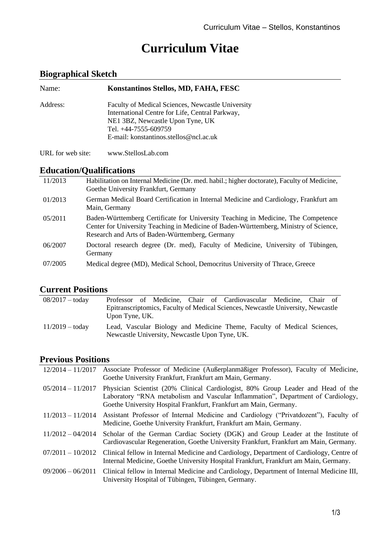# **Curriculum Vitae**

# **Biographical Sketch**

| Name:             | Konstantinos Stellos, MD, FAHA, FESC                                                                                                                                                                       |
|-------------------|------------------------------------------------------------------------------------------------------------------------------------------------------------------------------------------------------------|
| Address:          | Faculty of Medical Sciences, Newcastle University<br>International Centre for Life, Central Parkway,<br>NE1 3BZ, Newcastle Upon Tyne, UK<br>Tel. +44-7555-609759<br>E-mail: konstantinos.stellos@ncl.ac.uk |
| URL for web site: | www.StellosLab.com                                                                                                                                                                                         |

## **Education/Qualifications**

| 11/2013 | Habilitation on Internal Medicine (Dr. med. habil.; higher doctorate), Faculty of Medicine,<br>Goethe University Frankfurt, Germany                                                                                           |
|---------|-------------------------------------------------------------------------------------------------------------------------------------------------------------------------------------------------------------------------------|
| 01/2013 | German Medical Board Certification in Internal Medicine and Cardiology, Frankfurt am<br>Main, Germany                                                                                                                         |
| 05/2011 | Baden-Württemberg Certificate for University Teaching in Medicine, The Competence<br>Center for University Teaching in Medicine of Baden-Württemberg, Ministry of Science,<br>Research and Arts of Baden-Württemberg, Germany |
| 06/2007 | Doctoral research degree (Dr. med), Faculty of Medicine, University of Tübingen,<br>Germany                                                                                                                                   |
| 07/2005 | Medical degree (MD), Medical School, Democritus University of Thrace, Greece                                                                                                                                                  |

## **Current Positions**

| $08/2017 -$ today        |                                                |  | Professor of Medicine, Chair of Cardiovascular Medicine, Chair of                |  |  |
|--------------------------|------------------------------------------------|--|----------------------------------------------------------------------------------|--|--|
|                          |                                                |  | Epitranscriptomics, Faculty of Medical Sciences, Newcastle University, Newcastle |  |  |
|                          | Upon Tyne, UK.                                 |  |                                                                                  |  |  |
| $11/2019 - \text{today}$ | Newcastle University, Newcastle Upon Tyne, UK. |  | Lead, Vascular Biology and Medicine Theme, Faculty of Medical Sciences,          |  |  |

# **Previous Positions**

| $12/2014 - 11/2017$ | Associate Professor of Medicine (Außerplanmäßiger Professor), Faculty of Medicine,<br>Goethe University Frankfurt, Frankfurt am Main, Germany.                                                                                            |
|---------------------|-------------------------------------------------------------------------------------------------------------------------------------------------------------------------------------------------------------------------------------------|
| $05/2014 - 11/2017$ | Physician Scientist (20% Clinical Cardiologist, 80% Group Leader and Head of the<br>Laboratory "RNA metabolism and Vascular Inflammation", Department of Cardiology,<br>Goethe University Hospital Frankfurt, Frankfurt am Main, Germany. |
| $11/2013 - 11/2014$ | Assistant Professor of Internal Medicine and Cardiology ("Privatdozent"), Faculty of<br>Medicine, Goethe University Frankfurt, Frankfurt am Main, Germany.                                                                                |
| $11/2012 - 04/2014$ | Scholar of the German Cardiac Society (DGK) and Group Leader at the Institute of<br>Cardiovascular Regeneration, Goethe University Frankfurt, Frankfurt am Main, Germany.                                                                 |
| $07/2011 - 10/2012$ | Clinical fellow in Internal Medicine and Cardiology, Department of Cardiology, Centre of<br>Internal Medicine, Goethe University Hospital Frankfurt, Frankfurt am Main, Germany.                                                          |
| $09/2006 - 06/2011$ | Clinical fellow in Internal Medicine and Cardiology, Department of Internal Medicine III,<br>University Hospital of Tübingen, Tübingen, Germany.                                                                                          |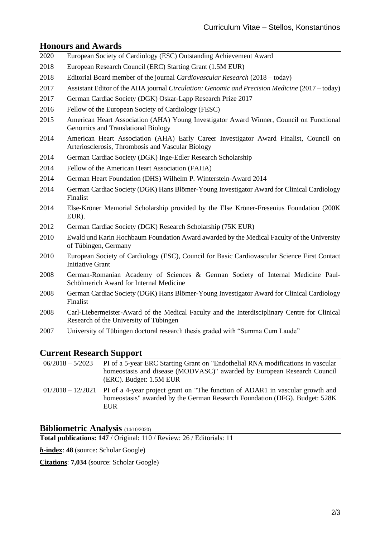#### **Honours and Awards**

|      | <b>Honours and Awards</b>                                                                                                                  |
|------|--------------------------------------------------------------------------------------------------------------------------------------------|
| 2020 | European Society of Cardiology (ESC) Outstanding Achievement Award                                                                         |
| 2018 | European Research Council (ERC) Starting Grant (1.5M EUR)                                                                                  |
| 2018 | Editorial Board member of the journal Cardiovascular Research (2018 – today)                                                               |
| 2017 | Assistant Editor of the AHA journal Circulation: Genomic and Precision Medicine (2017 - today)                                             |
| 2017 | German Cardiac Society (DGK) Oskar-Lapp Research Prize 2017                                                                                |
| 2016 | Fellow of the European Society of Cardiology (FESC)                                                                                        |
| 2015 | American Heart Association (AHA) Young Investigator Award Winner, Council on Functional<br>Genomics and Translational Biology              |
| 2014 | American Heart Association (AHA) Early Career Investigator Award Finalist, Council on<br>Arteriosclerosis, Thrombosis and Vascular Biology |
| 2014 | German Cardiac Society (DGK) Inge-Edler Research Scholarship                                                                               |
| 2014 | Fellow of the American Heart Association (FAHA)                                                                                            |
| 2014 | German Heart Foundation (DHS) Wilhelm P. Winterstein-Award 2014                                                                            |
| 2014 | German Cardiac Society (DGK) Hans Blömer-Young Investigator Award for Clinical Cardiology<br>Finalist                                      |
| 2014 | Else-Kröner Memorial Scholarship provided by the Else Kröner-Fresenius Foundation (200K)<br>EUR).                                          |
| 2012 | German Cardiac Society (DGK) Research Scholarship (75K EUR)                                                                                |
| 2010 | Ewald und Karin Hochbaum Foundation Award awarded by the Medical Faculty of the University<br>of Tübingen, Germany                         |
| 2010 | European Society of Cardiology (ESC), Council for Basic Cardiovascular Science First Contact<br><b>Initiative Grant</b>                    |
| 2008 | German-Romanian Academy of Sciences & German Society of Internal Medicine Paul-<br>Schölmerich Award for Internal Medicine                 |
| 2008 | German Cardiac Society (DGK) Hans Blömer-Young Investigator Award for Clinical Cardiology<br>Finalist                                      |
| 2008 | Carl-Liebermeister-Award of the Medical Faculty and the Interdisciplinary Centre for Clinical<br>Research of the University of Tübingen    |
| 2007 | University of Tübingen doctoral research thesis graded with "Summa Cum Laude"                                                              |

# **Current Research Support**

| $06/2018 - 5/2023$ | PI of a 5-year ERC Starting Grant on "Endothelial RNA modifications in vascular<br>homeostasis and disease (MODVASC)" awarded by European Research Council<br>(ERC). Budget: 1.5M EUR         |
|--------------------|-----------------------------------------------------------------------------------------------------------------------------------------------------------------------------------------------|
|                    | $01/2018 - 12/2021$ PI of a 4-year project grant on "The function of ADAR1 in vascular growth and<br>homeostasis" awarded by the German Research Foundation (DFG). Budget: 528K<br><b>EUR</b> |

## **Bibliometric Analysis** (14/10/2020)

**Total publications: 147** / Original: 110 / Review: 26 / Editorials: 11

*h***-index**: **48** (source: Scholar Google)

**Citations**: **7,034** (source: Scholar Google)